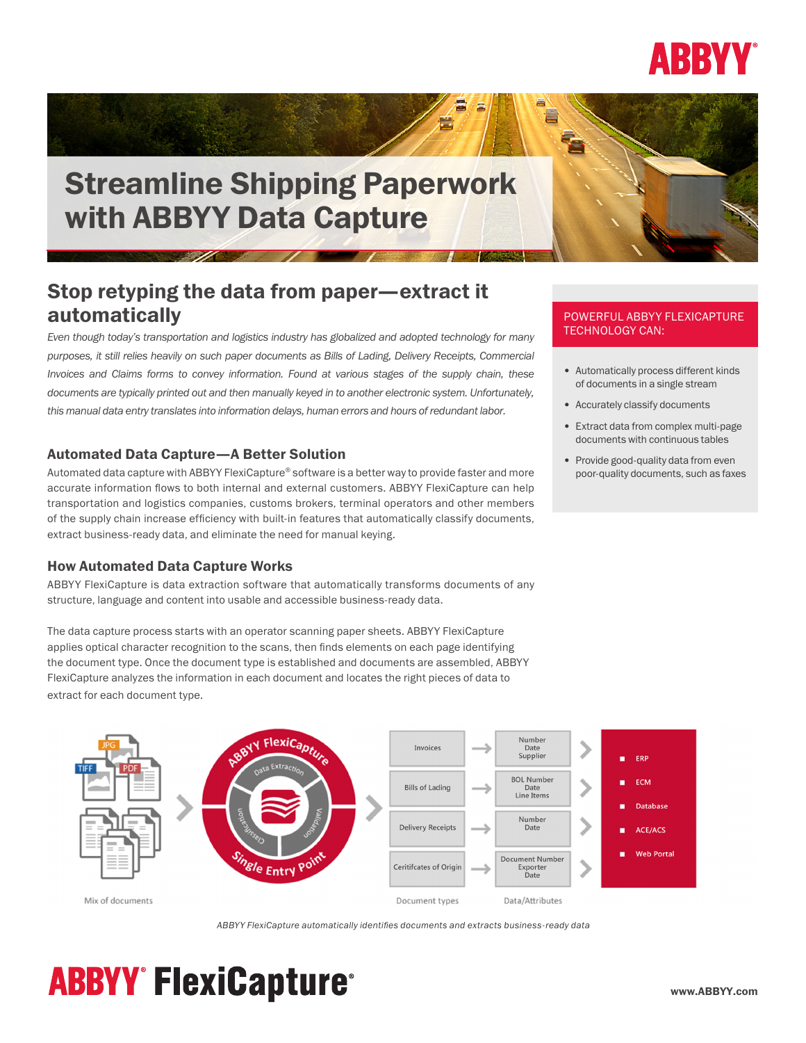

# Streamline Shipping Paperwork with ABBYY Data Capture

## Stop retyping the data from paper—extract it automatically

*Even though today's transportation and logistics industry has globalized and adopted technology for many purposes, it still relies heavily on such paper documents as Bills of Lading, Delivery Receipts, Commercial Invoices and Claims forms to convey information. Found at various stages of the supply chain, these documents are typically printed out and then manually keyed in to another electronic system. Unfortunately, this manual data entry translates into information delays, human errors and hours of redundant labor.*

### Automated Data Capture—A Better Solution

Automated data capture with ABBYY FlexiCapture® software is a better way to provide faster and more accurate information flows to both internal and external customers. ABBYY FlexiCapture can help transportation and logistics companies, customs brokers, terminal operators and other members of the supply chain increase efficiency with built-in features that automatically classify documents, extract business-ready data, and eliminate the need for manual keying.

#### How Automated Data Capture Works

ABBYY FlexiCapture is data extraction software that automatically transforms documents of any structure, language and content into usable and accessible business-ready data.

The data capture process starts with an operator scanning paper sheets. ABBYY FlexiCapture applies optical character recognition to the scans, then finds elements on each page identifying the document type. Once the document type is established and documents are assembled, ABBYY FlexiCapture analyzes the information in each document and locates the right pieces of data to extract for each document type.

#### POWERFUL ABBYY FLEXICAPTURE TECHNOLOGY CAN:

- Automatically process different kinds of documents in a single stream
- Accurately classify documents
- Extract data from complex multi-page documents with continuous tables
- Provide good-quality data from even poor-quality documents, such as faxes



*ABBYY FlexiCapture automatically identifies documents and extracts business-ready data*